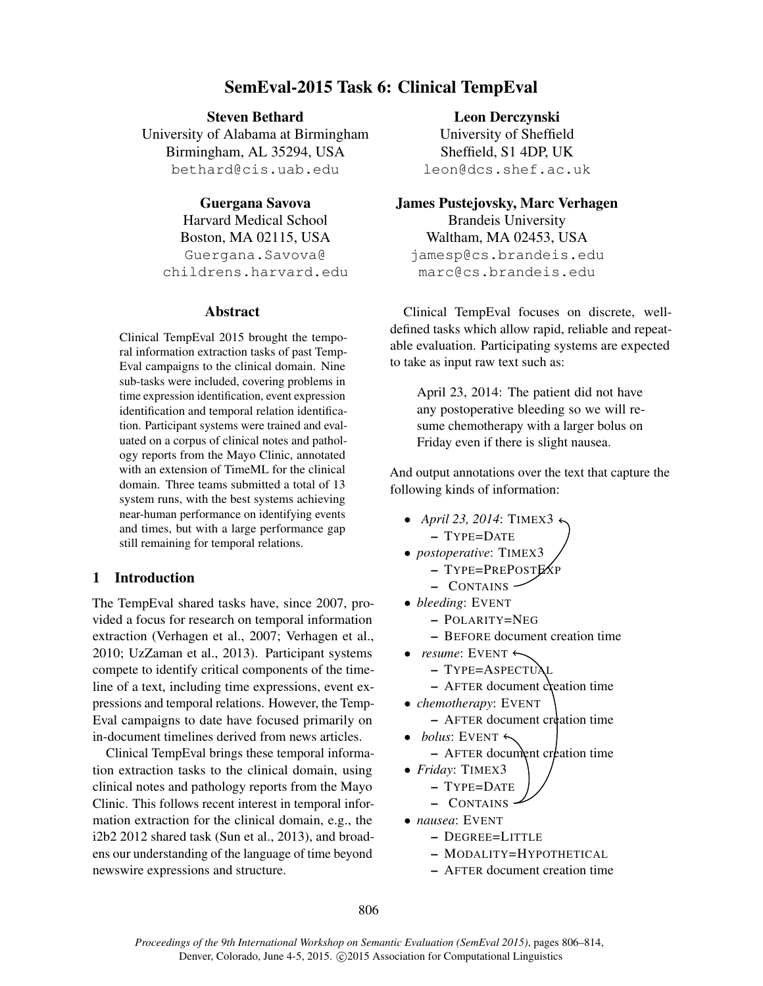# SemEval-2015 Task 6: Clinical TempEval

Steven Bethard

University of Alabama at Birmingham Birmingham, AL 35294, USA bethard@cis.uab.edu

Guergana Savova Harvard Medical School Boston, MA 02115, USA Guergana.Savova@ childrens.harvard.edu

### Abstract

Clinical TempEval 2015 brought the temporal information extraction tasks of past Temp-Eval campaigns to the clinical domain. Nine sub-tasks were included, covering problems in time expression identification, event expression identification and temporal relation identification. Participant systems were trained and evaluated on a corpus of clinical notes and pathology reports from the Mayo Clinic, annotated with an extension of TimeML for the clinical domain. Three teams submitted a total of 13 system runs, with the best systems achieving near-human performance on identifying events and times, but with a large performance gap still remaining for temporal relations.

# 1 Introduction

The TempEval shared tasks have, since 2007, provided a focus for research on temporal information extraction (Verhagen et al., 2007; Verhagen et al., 2010; UzZaman et al., 2013). Participant systems compete to identify critical components of the timeline of a text, including time expressions, event expressions and temporal relations. However, the Temp-Eval campaigns to date have focused primarily on in-document timelines derived from news articles.

Clinical TempEval brings these temporal information extraction tasks to the clinical domain, using clinical notes and pathology reports from the Mayo Clinic. This follows recent interest in temporal information extraction for the clinical domain, e.g., the i2b2 2012 shared task (Sun et al., 2013), and broadens our understanding of the language of time beyond newswire expressions and structure.

Leon Derczynski

University of Sheffield Sheffield, S1 4DP, UK leon@dcs.shef.ac.uk

James Pustejovsky, Marc Verhagen

Brandeis University Waltham, MA 02453, USA jamesp@cs.brandeis.edu marc@cs.brandeis.edu

Clinical TempEval focuses on discrete, welldefined tasks which allow rapid, reliable and repeatable evaluation. Participating systems are expected to take as input raw text such as:

April 23, 2014: The patient did not have any postoperative bleeding so we will resume chemotherapy with a larger bolus on Friday even if there is slight nausea.

And output annotations over the text that capture the following kinds of information:

- *April 23, 2014*: TIMEX3  $\leftrightarrow$ – TYPE=DATE
- *postoperative*: TIMEX3
	- TYPE=PREPOSTEXP
	- CONTAINS
- *bleeding*: EVENT
	- POLARITY=NEG
	- BEFORE document creation time
- *resume*: EVENT  $\leftarrow$ 
	- TYPE=ASPECTUAL
	- $-$  AFTER document creation time

• *chemotherapy*: EVENT

- AFTER document creation time
- $\bullet$  *bolus*: EVENT  $\leftarrow$ 
	- $-$  AFTER document creation time
- *Friday*: TIMEX3

$$
- \text{Type}= \text{Date}
$$

- CONTAINS
- *nausea*: EVENT
	- DEGREE=LITTLE
	- MODALITY=HYPOTHETICAL
	- AFTER document creation time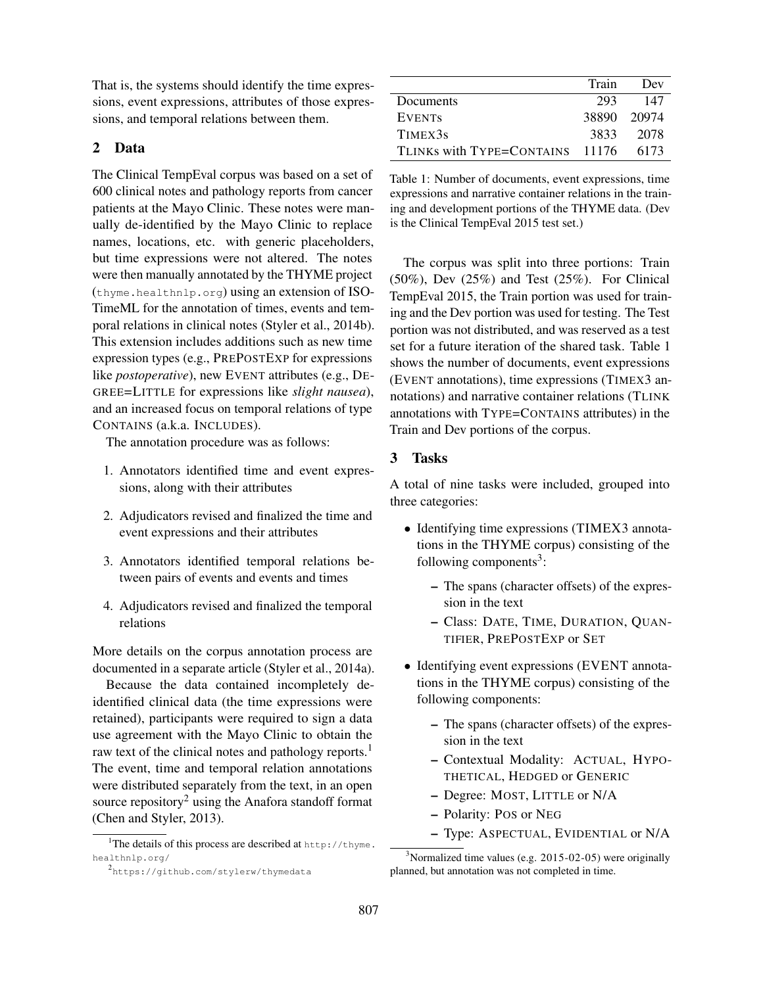That is, the systems should identify the time expressions, event expressions, attributes of those expressions, and temporal relations between them.

## 2 Data

The Clinical TempEval corpus was based on a set of 600 clinical notes and pathology reports from cancer patients at the Mayo Clinic. These notes were manually de-identified by the Mayo Clinic to replace names, locations, etc. with generic placeholders, but time expressions were not altered. The notes were then manually annotated by the THYME project (thyme.healthnlp.org) using an extension of ISO-TimeML for the annotation of times, events and temporal relations in clinical notes (Styler et al., 2014b). This extension includes additions such as new time expression types (e.g., PREPOSTEXP for expressions like *postoperative*), new EVENT attributes (e.g., DE-GREE=LITTLE for expressions like *slight nausea*), and an increased focus on temporal relations of type CONTAINS (a.k.a. INCLUDES).

The annotation procedure was as follows:

- 1. Annotators identified time and event expressions, along with their attributes
- 2. Adjudicators revised and finalized the time and event expressions and their attributes
- 3. Annotators identified temporal relations between pairs of events and events and times
- 4. Adjudicators revised and finalized the temporal relations

More details on the corpus annotation process are documented in a separate article (Styler et al., 2014a).

Because the data contained incompletely deidentified clinical data (the time expressions were retained), participants were required to sign a data use agreement with the Mayo Clinic to obtain the raw text of the clinical notes and pathology reports.<sup>1</sup> The event, time and temporal relation annotations were distributed separately from the text, in an open source repository<sup>2</sup> using the Anafora standoff format (Chen and Styler, 2013).

|                                 | Train       | Dev   |
|---------------------------------|-------------|-------|
| Documents                       | 293         | 147   |
| <b>EVENTS</b>                   | 38890 20974 |       |
| TIMEX3s                         | 3833        | -2078 |
| TLINKS with TYPE=CONTAINS 11176 |             | 6173  |

Table 1: Number of documents, event expressions, time expressions and narrative container relations in the training and development portions of the THYME data. (Dev is the Clinical TempEval 2015 test set.)

The corpus was split into three portions: Train (50%), Dev (25%) and Test (25%). For Clinical TempEval 2015, the Train portion was used for training and the Dev portion was used for testing. The Test portion was not distributed, and was reserved as a test set for a future iteration of the shared task. Table 1 shows the number of documents, event expressions (EVENT annotations), time expressions (TIMEX3 annotations) and narrative container relations (TLINK annotations with TYPE=CONTAINS attributes) in the Train and Dev portions of the corpus.

# 3 Tasks

A total of nine tasks were included, grouped into three categories:

- Identifying time expressions (TIMEX3 annotations in the THYME corpus) consisting of the following components<sup>3</sup>:
	- The spans (character offsets) of the expression in the text
	- Class: DATE, TIME, DURATION, QUAN-TIFIER, PREPOSTEXP or SET
- Identifying event expressions (EVENT annotations in the THYME corpus) consisting of the following components:
	- The spans (character offsets) of the expression in the text
	- Contextual Modality: ACTUAL, HYPO-THETICAL, HEDGED or GENERIC
	- Degree: MOST, LITTLE or N/A
	- Polarity: POS or NEG
	- Type: ASPECTUAL, EVIDENTIAL or N/A

<sup>&</sup>lt;sup>1</sup>The details of this process are described at http://thyme. healthnlp.org/

<sup>2&</sup>lt;br>https://github.com/stylerw/thymedata

 $3$ Normalized time values (e.g. 2015-02-05) were originally planned, but annotation was not completed in time.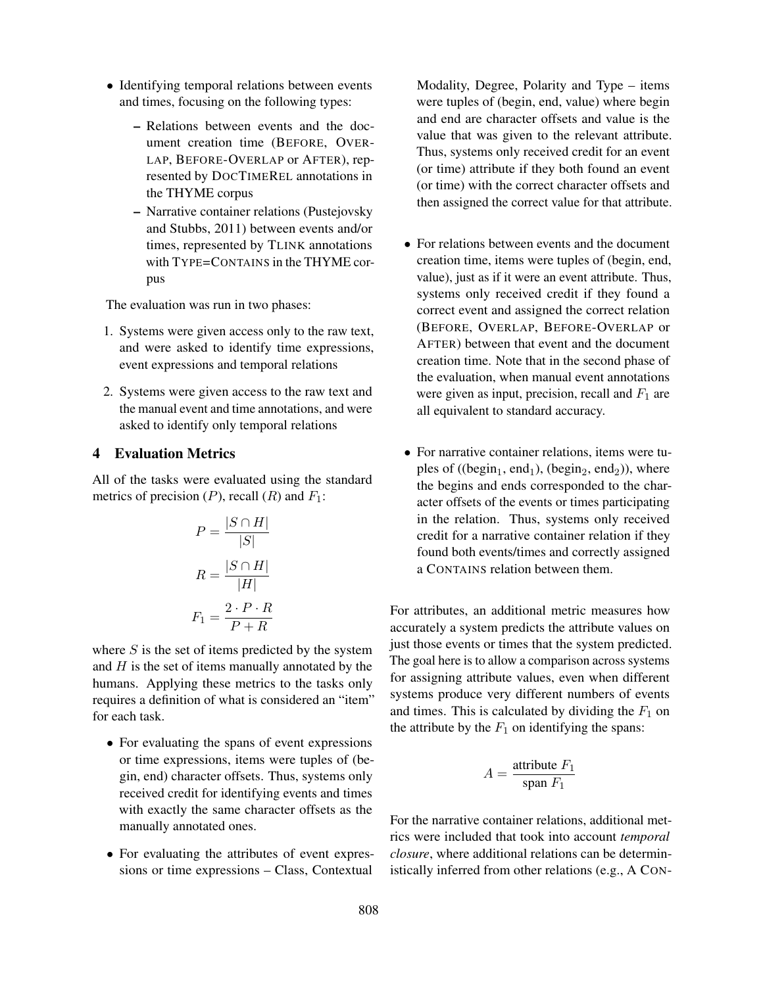- Identifying temporal relations between events and times, focusing on the following types:
	- Relations between events and the document creation time (BEFORE, OVER-LAP, BEFORE-OVERLAP or AFTER), represented by DOCTIMEREL annotations in the THYME corpus
	- Narrative container relations (Pustejovsky and Stubbs, 2011) between events and/or times, represented by TLINK annotations with TYPE=CONTAINS in the THYME corpus

The evaluation was run in two phases:

- 1. Systems were given access only to the raw text, and were asked to identify time expressions, event expressions and temporal relations
- 2. Systems were given access to the raw text and the manual event and time annotations, and were asked to identify only temporal relations

### 4 Evaluation Metrics

All of the tasks were evaluated using the standard metrics of precision  $(P)$ , recall  $(R)$  and  $F_1$ :

$$
P = \frac{|S \cap H|}{|S|}
$$

$$
R = \frac{|S \cap H|}{|H|}
$$

$$
F_1 = \frac{2 \cdot P \cdot R}{P + R}
$$

where  $S$  is the set of items predicted by the system and  $H$  is the set of items manually annotated by the humans. Applying these metrics to the tasks only requires a definition of what is considered an "item" for each task.

- For evaluating the spans of event expressions or time expressions, items were tuples of (begin, end) character offsets. Thus, systems only received credit for identifying events and times with exactly the same character offsets as the manually annotated ones.
- For evaluating the attributes of event expressions or time expressions – Class, Contextual

Modality, Degree, Polarity and Type – items were tuples of (begin, end, value) where begin and end are character offsets and value is the value that was given to the relevant attribute. Thus, systems only received credit for an event (or time) attribute if they both found an event (or time) with the correct character offsets and then assigned the correct value for that attribute.

- For relations between events and the document creation time, items were tuples of (begin, end, value), just as if it were an event attribute. Thus, systems only received credit if they found a correct event and assigned the correct relation (BEFORE, OVERLAP, BEFORE-OVERLAP or AFTER) between that event and the document creation time. Note that in the second phase of the evaluation, when manual event annotations were given as input, precision, recall and  $F_1$  are all equivalent to standard accuracy.
- For narrative container relations, items were tuples of ((begin<sub>1</sub>, end<sub>1</sub>), (begin<sub>2</sub>, end<sub>2</sub>)), where the begins and ends corresponded to the character offsets of the events or times participating in the relation. Thus, systems only received credit for a narrative container relation if they found both events/times and correctly assigned a CONTAINS relation between them.

For attributes, an additional metric measures how accurately a system predicts the attribute values on just those events or times that the system predicted. The goal here is to allow a comparison across systems for assigning attribute values, even when different systems produce very different numbers of events and times. This is calculated by dividing the  $F_1$  on the attribute by the  $F_1$  on identifying the spans:

$$
A = \frac{\text{attribute } F_1}{\text{span } F_1}
$$

For the narrative container relations, additional metrics were included that took into account *temporal closure*, where additional relations can be deterministically inferred from other relations (e.g., A CON-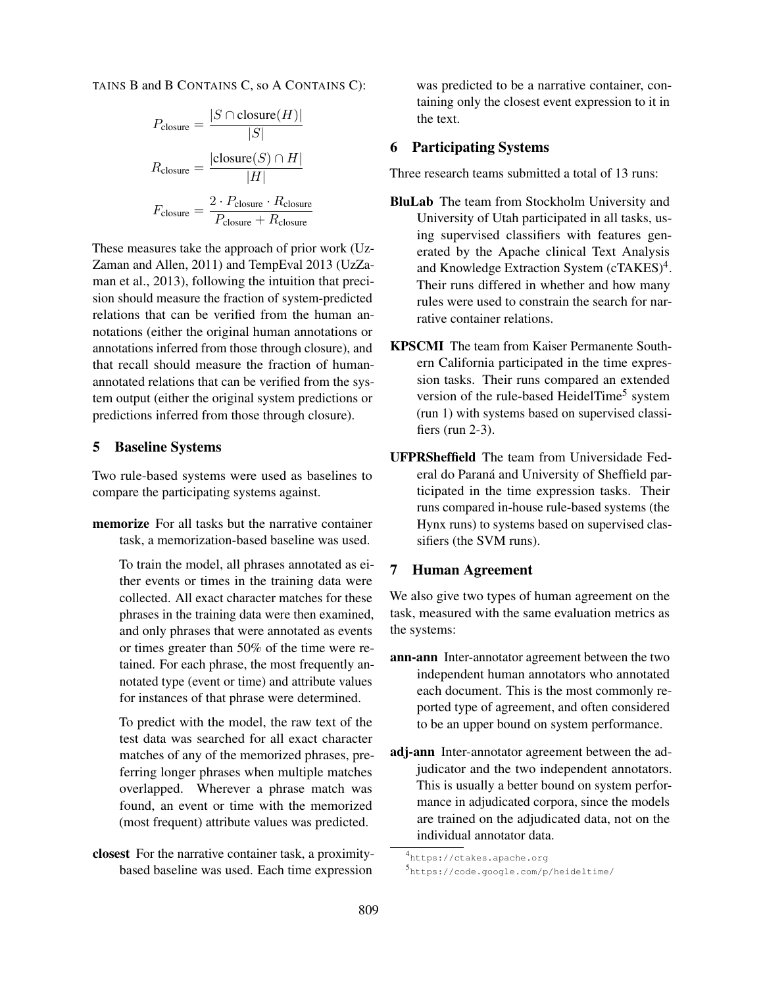TAINS B and B CONTAINS C, so A CONTAINS C):

$$
P_{\text{closure}} = \frac{|S \cap \text{closure}(H)|}{|S|}
$$

$$
R_{\text{closure}} = \frac{|\text{closure}(S) \cap H|}{|H|}
$$

$$
F_{\text{closure}} = \frac{2 \cdot P_{\text{closure}} \cdot R_{\text{closure}}}{P_{\text{closure}} + R_{\text{closure}}}
$$

These measures take the approach of prior work (Uz-Zaman and Allen, 2011) and TempEval 2013 (UzZaman et al., 2013), following the intuition that precision should measure the fraction of system-predicted relations that can be verified from the human annotations (either the original human annotations or annotations inferred from those through closure), and that recall should measure the fraction of humanannotated relations that can be verified from the system output (either the original system predictions or predictions inferred from those through closure).

### 5 Baseline Systems

Two rule-based systems were used as baselines to compare the participating systems against.

memorize For all tasks but the narrative container task, a memorization-based baseline was used.

To train the model, all phrases annotated as either events or times in the training data were collected. All exact character matches for these phrases in the training data were then examined, and only phrases that were annotated as events or times greater than 50% of the time were retained. For each phrase, the most frequently annotated type (event or time) and attribute values for instances of that phrase were determined.

To predict with the model, the raw text of the test data was searched for all exact character matches of any of the memorized phrases, preferring longer phrases when multiple matches overlapped. Wherever a phrase match was found, an event or time with the memorized (most frequent) attribute values was predicted.

closest For the narrative container task, a proximitybased baseline was used. Each time expression

was predicted to be a narrative container, containing only the closest event expression to it in the text.

### 6 Participating Systems

Three research teams submitted a total of 13 runs:

- BluLab The team from Stockholm University and University of Utah participated in all tasks, using supervised classifiers with features generated by the Apache clinical Text Analysis and Knowledge Extraction System (cTAKES)<sup>4</sup>. Their runs differed in whether and how many rules were used to constrain the search for narrative container relations.
- KPSCMI The team from Kaiser Permanente Southern California participated in the time expression tasks. Their runs compared an extended version of the rule-based HeidelTime<sup>5</sup> system (run 1) with systems based on supervised classifiers (run 2-3).
- UFPRSheffield The team from Universidade Federal do Paraná and University of Sheffield participated in the time expression tasks. Their runs compared in-house rule-based systems (the Hynx runs) to systems based on supervised classifiers (the SVM runs).

# 7 Human Agreement

We also give two types of human agreement on the task, measured with the same evaluation metrics as the systems:

- ann-ann Inter-annotator agreement between the two independent human annotators who annotated each document. This is the most commonly reported type of agreement, and often considered to be an upper bound on system performance.
- adj-ann Inter-annotator agreement between the adjudicator and the two independent annotators. This is usually a better bound on system performance in adjudicated corpora, since the models are trained on the adjudicated data, not on the individual annotator data.

<sup>4</sup> https://ctakes.apache.org

<sup>5</sup> https://code.google.com/p/heideltime/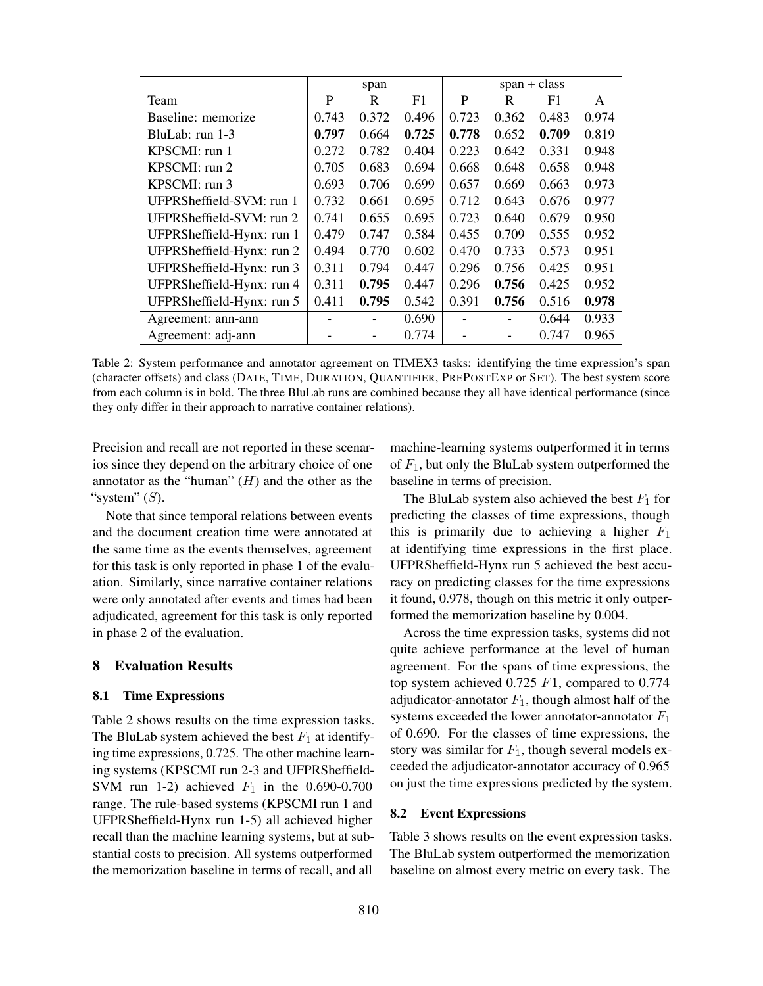|                           |       | span  |       | $span + class$ |       |       |       |  |
|---------------------------|-------|-------|-------|----------------|-------|-------|-------|--|
| Team                      | P     | R     | F1    | P              | R     | F1    | A     |  |
| Baseline: memorize        | 0.743 | 0.372 | 0.496 | 0.723          | 0.362 | 0.483 | 0.974 |  |
| BluLab: run 1-3           | 0.797 | 0.664 | 0.725 | 0.778          | 0.652 | 0.709 | 0.819 |  |
| KPSCMI: run 1             | 0.272 | 0.782 | 0.404 | 0.223          | 0.642 | 0.331 | 0.948 |  |
| KPSCMI: run 2             | 0.705 | 0.683 | 0.694 | 0.668          | 0.648 | 0.658 | 0.948 |  |
| KPSCMI: run 3             | 0.693 | 0.706 | 0.699 | 0.657          | 0.669 | 0.663 | 0.973 |  |
| UFPRSheffield-SVM: run 1  | 0.732 | 0.661 | 0.695 | 0.712          | 0.643 | 0.676 | 0.977 |  |
| UFPRSheffield-SVM: run 2  | 0.741 | 0.655 | 0.695 | 0.723          | 0.640 | 0.679 | 0.950 |  |
| UFPRSheffield-Hynx: run 1 | 0.479 | 0.747 | 0.584 | 0.455          | 0.709 | 0.555 | 0.952 |  |
| UFPRSheffield-Hynx: run 2 | 0.494 | 0.770 | 0.602 | 0.470          | 0.733 | 0.573 | 0.951 |  |
| UFPRSheffield-Hynx: run 3 | 0.311 | 0.794 | 0.447 | 0.296          | 0.756 | 0.425 | 0.951 |  |
| UFPRSheffield-Hynx: run 4 | 0.311 | 0.795 | 0.447 | 0.296          | 0.756 | 0.425 | 0.952 |  |
| UFPRSheffield-Hynx: run 5 | 0.411 | 0.795 | 0.542 | 0.391          | 0.756 | 0.516 | 0.978 |  |
| Agreement: ann-ann        |       |       | 0.690 |                |       | 0.644 | 0.933 |  |
| Agreement: adj-ann        |       | -     | 0.774 |                |       | 0.747 | 0.965 |  |

Table 2: System performance and annotator agreement on TIMEX3 tasks: identifying the time expression's span (character offsets) and class (DATE, TIME, DURATION, QUANTIFIER, PREPOSTEXP or SET). The best system score from each column is in bold. The three BluLab runs are combined because they all have identical performance (since they only differ in their approach to narrative container relations).

Precision and recall are not reported in these scenarios since they depend on the arbitrary choice of one annotator as the "human"  $(H)$  and the other as the "system"  $(S)$ .

Note that since temporal relations between events and the document creation time were annotated at the same time as the events themselves, agreement for this task is only reported in phase 1 of the evaluation. Similarly, since narrative container relations were only annotated after events and times had been adjudicated, agreement for this task is only reported in phase 2 of the evaluation.

#### 8 Evaluation Results

#### 8.1 Time Expressions

Table 2 shows results on the time expression tasks. The BluLab system achieved the best  $F_1$  at identifying time expressions, 0.725. The other machine learning systems (KPSCMI run 2-3 and UFPRSheffield-SVM run 1-2) achieved  $F_1$  in the 0.690-0.700 range. The rule-based systems (KPSCMI run 1 and UFPRSheffield-Hynx run 1-5) all achieved higher recall than the machine learning systems, but at substantial costs to precision. All systems outperformed the memorization baseline in terms of recall, and all

machine-learning systems outperformed it in terms of  $F_1$ , but only the BluLab system outperformed the baseline in terms of precision.

The BluLab system also achieved the best  $F_1$  for predicting the classes of time expressions, though this is primarily due to achieving a higher  $F_1$ at identifying time expressions in the first place. UFPRSheffield-Hynx run 5 achieved the best accuracy on predicting classes for the time expressions it found, 0.978, though on this metric it only outperformed the memorization baseline by 0.004.

Across the time expression tasks, systems did not quite achieve performance at the level of human agreement. For the spans of time expressions, the top system achieved 0.725 F1, compared to 0.774 adjudicator-annotator  $F_1$ , though almost half of the systems exceeded the lower annotator-annotator  $F_1$ of 0.690. For the classes of time expressions, the story was similar for  $F_1$ , though several models exceeded the adjudicator-annotator accuracy of 0.965 on just the time expressions predicted by the system.

#### 8.2 Event Expressions

Table 3 shows results on the event expression tasks. The BluLab system outperformed the memorization baseline on almost every metric on every task. The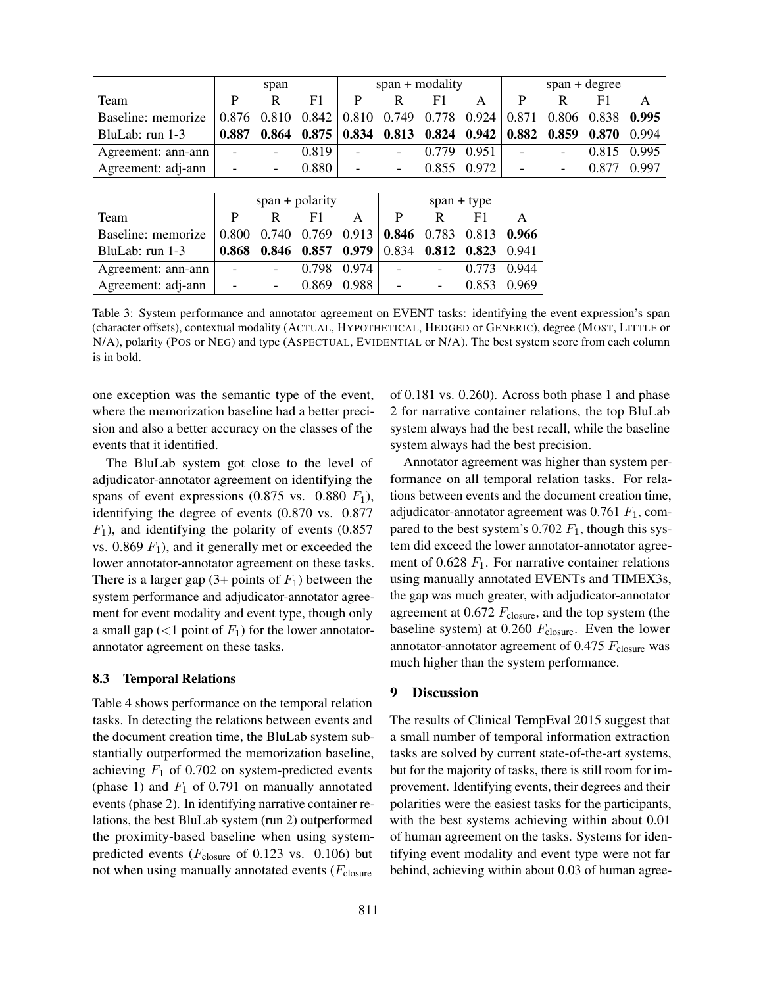|                    |                   | span  |       | $span + modality$ |               |                          |             | $span + degree$          |       |       |       |
|--------------------|-------------------|-------|-------|-------------------|---------------|--------------------------|-------------|--------------------------|-------|-------|-------|
| Team               | P                 | R     | F1    | P                 | R             | F1                       | A           | P                        | R     | F1    | A     |
| Baseline: memorize | 0.876             | 0.810 | 0.842 | 0.810             | 0.749         | 0.778                    | 0.924       | 0.871                    | 0.806 | 0.838 | 0.995 |
| BluLab: $run 1-3$  | 0.887             | 0.864 | 0.875 | 0.834             | 0.813         | 0.824                    | 0.942       | 0.882                    | 0.859 | 0.870 | 0.994 |
| Agreement: ann-ann |                   |       | 0.819 |                   |               | 0.779                    | 0.951       | $\overline{\phantom{0}}$ |       | 0.815 | 0.995 |
| Agreement: adj-ann |                   | -     | 0.880 |                   | -             |                          | 0.855 0.972 |                          |       | 0.877 | 0.997 |
|                    |                   |       |       |                   |               |                          |             |                          |       |       |       |
|                    | $span + polarity$ |       |       |                   | $span + type$ |                          |             |                          |       |       |       |
| Team               | P                 | R     | F1    | A                 | P             | R                        | F1          | A                        |       |       |       |
| Baseline: memorize | 0.800             | 0.740 | 0.769 | 0.913             | 0.846         | 0.783                    | 0.813       | 0.966                    |       |       |       |
| BluLab: $run 1-3$  | 0.868             | 0.846 | 0.857 | 0.979             | 0.834         | 0.812                    | 0.823       | 0.941                    |       |       |       |
| Agreement: ann-ann |                   |       | 0.798 | 0.974             |               |                          | 0.773       | 0.944                    |       |       |       |
| Agreement: adj-ann |                   | -     | 0.869 | 0.988             |               | $\overline{\phantom{a}}$ | 0.853       | 0.969                    |       |       |       |

Table 3: System performance and annotator agreement on EVENT tasks: identifying the event expression's span (character offsets), contextual modality (ACTUAL, HYPOTHETICAL, HEDGED or GENERIC), degree (MOST, LITTLE or N/A), polarity (POS or NEG) and type (ASPECTUAL, EVIDENTIAL or N/A). The best system score from each column is in bold.

one exception was the semantic type of the event, where the memorization baseline had a better precision and also a better accuracy on the classes of the events that it identified.

The BluLab system got close to the level of adjudicator-annotator agreement on identifying the spans of event expressions  $(0.875 \text{ vs. } 0.880 \text{ F}_1)$ , identifying the degree of events (0.870 vs. 0.877  $F_1$ ), and identifying the polarity of events (0.857) vs.  $0.869 F_1$ , and it generally met or exceeded the lower annotator-annotator agreement on these tasks. There is a larger gap  $(3+$  points of  $F_1$ ) between the system performance and adjudicator-annotator agreement for event modality and event type, though only a small gap  $(<1$  point of  $F_1$ ) for the lower annotatorannotator agreement on these tasks.

#### 8.3 Temporal Relations

Table 4 shows performance on the temporal relation tasks. In detecting the relations between events and the document creation time, the BluLab system substantially outperformed the memorization baseline, achieving  $F_1$  of 0.702 on system-predicted events (phase 1) and  $F_1$  of 0.791 on manually annotated events (phase 2). In identifying narrative container relations, the best BluLab system (run 2) outperformed the proximity-based baseline when using systempredicted events ( $F_{\text{closure}}$  of 0.123 vs. 0.106) but not when using manually annotated events  $(F_{closure}$ 

of 0.181 vs. 0.260). Across both phase 1 and phase 2 for narrative container relations, the top BluLab system always had the best recall, while the baseline system always had the best precision.

Annotator agreement was higher than system performance on all temporal relation tasks. For relations between events and the document creation time, adjudicator-annotator agreement was  $0.761 F<sub>1</sub>$ , compared to the best system's  $0.702 F_1$ , though this system did exceed the lower annotator-annotator agreement of 0.628  $F_1$ . For narrative container relations using manually annotated EVENTs and TIMEX3s, the gap was much greater, with adjudicator-annotator agreement at  $0.672 F_{\text{closure}}$ , and the top system (the baseline system) at  $0.260$   $F_{\text{closure}}$ . Even the lower annotator-annotator agreement of 0.475  $F_{\text{closure}}$  was much higher than the system performance.

### 9 Discussion

The results of Clinical TempEval 2015 suggest that a small number of temporal information extraction tasks are solved by current state-of-the-art systems, but for the majority of tasks, there is still room for improvement. Identifying events, their degrees and their polarities were the easiest tasks for the participants, with the best systems achieving within about 0.01 of human agreement on the tasks. Systems for identifying event modality and event type were not far behind, achieving within about 0.03 of human agree-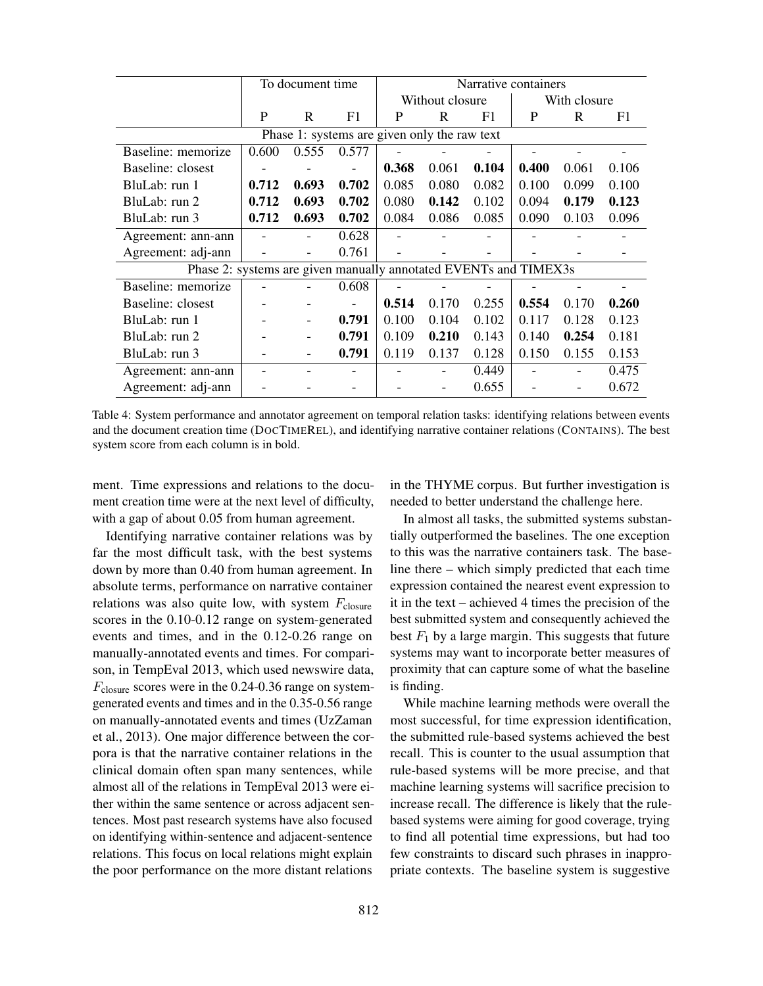|                                                                  | To document time |                          |       | Narrative containers |                 |       |              |       |       |  |
|------------------------------------------------------------------|------------------|--------------------------|-------|----------------------|-----------------|-------|--------------|-------|-------|--|
|                                                                  |                  |                          |       |                      | Without closure |       | With closure |       |       |  |
|                                                                  | P                | R                        | F1    | P                    | R               | F1    | P            | R     | F1    |  |
| Phase 1: systems are given only the raw text                     |                  |                          |       |                      |                 |       |              |       |       |  |
| Baseline: memorize                                               | 0.600            | 0.555                    | 0.577 |                      |                 |       |              |       |       |  |
| Baseline: closest                                                |                  |                          |       | 0.368                | 0.061           | 0.104 | 0.400        | 0.061 | 0.106 |  |
| BluLab: run 1                                                    | 0.712            | 0.693                    | 0.702 | 0.085                | 0.080           | 0.082 | 0.100        | 0.099 | 0.100 |  |
| BluLab: run 2                                                    | 0.712            | 0.693                    | 0.702 | 0.080                | 0.142           | 0.102 | 0.094        | 0.179 | 0.123 |  |
| BluLab: run 3                                                    | 0.712            | 0.693                    | 0.702 | 0.084                | 0.086           | 0.085 | 0.090        | 0.103 | 0.096 |  |
| Agreement: ann-ann                                               |                  |                          | 0.628 |                      |                 |       |              |       |       |  |
| Agreement: adj-ann                                               |                  | $\overline{\phantom{a}}$ | 0.761 |                      |                 |       |              |       |       |  |
| Phase 2: systems are given manually annotated EVENTs and TIMEX3s |                  |                          |       |                      |                 |       |              |       |       |  |
| Baseline: memorize                                               |                  |                          | 0.608 |                      |                 |       |              |       |       |  |
| Baseline: closest                                                |                  |                          |       | 0.514                | 0.170           | 0.255 | 0.554        | 0.170 | 0.260 |  |
| BluLab: run 1                                                    |                  |                          | 0.791 | 0.100                | 0.104           | 0.102 | 0.117        | 0.128 | 0.123 |  |
| BluLab: run 2                                                    |                  |                          | 0.791 | 0.109                | 0.210           | 0.143 | 0.140        | 0.254 | 0.181 |  |
| BluLab: run 3                                                    |                  |                          | 0.791 | 0.119                | 0.137           | 0.128 | 0.150        | 0.155 | 0.153 |  |
| Agreement: ann-ann                                               |                  |                          |       |                      |                 | 0.449 |              |       | 0.475 |  |
| Agreement: adj-ann                                               |                  |                          |       |                      |                 | 0.655 |              |       | 0.672 |  |

Table 4: System performance and annotator agreement on temporal relation tasks: identifying relations between events and the document creation time (DOCTIMEREL), and identifying narrative container relations (CONTAINS). The best system score from each column is in bold.

ment. Time expressions and relations to the document creation time were at the next level of difficulty, with a gap of about 0.05 from human agreement.

in the THYME corpus. But further investigation is needed to better understand the challenge here.

Identifying narrative container relations was by far the most difficult task, with the best systems down by more than 0.40 from human agreement. In absolute terms, performance on narrative container relations was also quite low, with system  $F_{\text{closure}}$ scores in the 0.10-0.12 range on system-generated events and times, and in the 0.12-0.26 range on manually-annotated events and times. For comparison, in TempEval 2013, which used newswire data,  $F_{\text{closure}}$  scores were in the 0.24-0.36 range on systemgenerated events and times and in the 0.35-0.56 range on manually-annotated events and times (UzZaman et al., 2013). One major difference between the corpora is that the narrative container relations in the clinical domain often span many sentences, while almost all of the relations in TempEval 2013 were either within the same sentence or across adjacent sentences. Most past research systems have also focused on identifying within-sentence and adjacent-sentence relations. This focus on local relations might explain the poor performance on the more distant relations

In almost all tasks, the submitted systems substantially outperformed the baselines. The one exception to this was the narrative containers task. The baseline there – which simply predicted that each time expression contained the nearest event expression to it in the text – achieved 4 times the precision of the best submitted system and consequently achieved the best  $F_1$  by a large margin. This suggests that future systems may want to incorporate better measures of proximity that can capture some of what the baseline is finding.

While machine learning methods were overall the most successful, for time expression identification, the submitted rule-based systems achieved the best recall. This is counter to the usual assumption that rule-based systems will be more precise, and that machine learning systems will sacrifice precision to increase recall. The difference is likely that the rulebased systems were aiming for good coverage, trying to find all potential time expressions, but had too few constraints to discard such phrases in inappropriate contexts. The baseline system is suggestive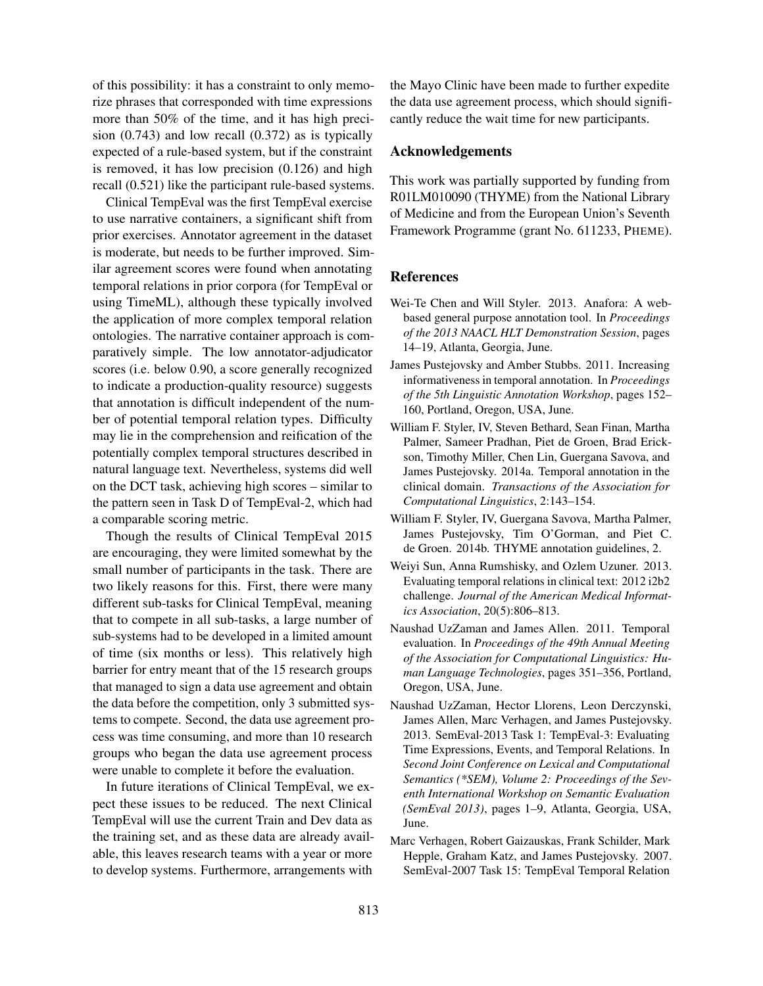of this possibility: it has a constraint to only memorize phrases that corresponded with time expressions more than 50% of the time, and it has high precision (0.743) and low recall (0.372) as is typically expected of a rule-based system, but if the constraint is removed, it has low precision (0.126) and high recall (0.521) like the participant rule-based systems.

Clinical TempEval was the first TempEval exercise to use narrative containers, a significant shift from prior exercises. Annotator agreement in the dataset is moderate, but needs to be further improved. Similar agreement scores were found when annotating temporal relations in prior corpora (for TempEval or using TimeML), although these typically involved the application of more complex temporal relation ontologies. The narrative container approach is comparatively simple. The low annotator-adjudicator scores (i.e. below 0.90, a score generally recognized to indicate a production-quality resource) suggests that annotation is difficult independent of the number of potential temporal relation types. Difficulty may lie in the comprehension and reification of the potentially complex temporal structures described in natural language text. Nevertheless, systems did well on the DCT task, achieving high scores – similar to the pattern seen in Task D of TempEval-2, which had a comparable scoring metric.

Though the results of Clinical TempEval 2015 are encouraging, they were limited somewhat by the small number of participants in the task. There are two likely reasons for this. First, there were many different sub-tasks for Clinical TempEval, meaning that to compete in all sub-tasks, a large number of sub-systems had to be developed in a limited amount of time (six months or less). This relatively high barrier for entry meant that of the 15 research groups that managed to sign a data use agreement and obtain the data before the competition, only 3 submitted systems to compete. Second, the data use agreement process was time consuming, and more than 10 research groups who began the data use agreement process were unable to complete it before the evaluation.

In future iterations of Clinical TempEval, we expect these issues to be reduced. The next Clinical TempEval will use the current Train and Dev data as the training set, and as these data are already available, this leaves research teams with a year or more to develop systems. Furthermore, arrangements with

the Mayo Clinic have been made to further expedite the data use agreement process, which should significantly reduce the wait time for new participants.

### Acknowledgements

This work was partially supported by funding from R01LM010090 (THYME) from the National Library of Medicine and from the European Union's Seventh Framework Programme (grant No. 611233, PHEME).

### **References**

- Wei-Te Chen and Will Styler. 2013. Anafora: A webbased general purpose annotation tool. In *Proceedings of the 2013 NAACL HLT Demonstration Session*, pages 14–19, Atlanta, Georgia, June.
- James Pustejovsky and Amber Stubbs. 2011. Increasing informativeness in temporal annotation. In *Proceedings of the 5th Linguistic Annotation Workshop*, pages 152– 160, Portland, Oregon, USA, June.
- William F. Styler, IV, Steven Bethard, Sean Finan, Martha Palmer, Sameer Pradhan, Piet de Groen, Brad Erickson, Timothy Miller, Chen Lin, Guergana Savova, and James Pustejovsky. 2014a. Temporal annotation in the clinical domain. *Transactions of the Association for Computational Linguistics*, 2:143–154.
- William F. Styler, IV, Guergana Savova, Martha Palmer, James Pustejovsky, Tim O'Gorman, and Piet C. de Groen. 2014b. THYME annotation guidelines, 2.
- Weiyi Sun, Anna Rumshisky, and Ozlem Uzuner. 2013. Evaluating temporal relations in clinical text: 2012 i2b2 challenge. *Journal of the American Medical Informatics Association*, 20(5):806–813.
- Naushad UzZaman and James Allen. 2011. Temporal evaluation. In *Proceedings of the 49th Annual Meeting of the Association for Computational Linguistics: Human Language Technologies*, pages 351–356, Portland, Oregon, USA, June.
- Naushad UzZaman, Hector Llorens, Leon Derczynski, James Allen, Marc Verhagen, and James Pustejovsky. 2013. SemEval-2013 Task 1: TempEval-3: Evaluating Time Expressions, Events, and Temporal Relations. In *Second Joint Conference on Lexical and Computational Semantics (\*SEM), Volume 2: Proceedings of the Seventh International Workshop on Semantic Evaluation (SemEval 2013)*, pages 1–9, Atlanta, Georgia, USA, June.
- Marc Verhagen, Robert Gaizauskas, Frank Schilder, Mark Hepple, Graham Katz, and James Pustejovsky. 2007. SemEval-2007 Task 15: TempEval Temporal Relation